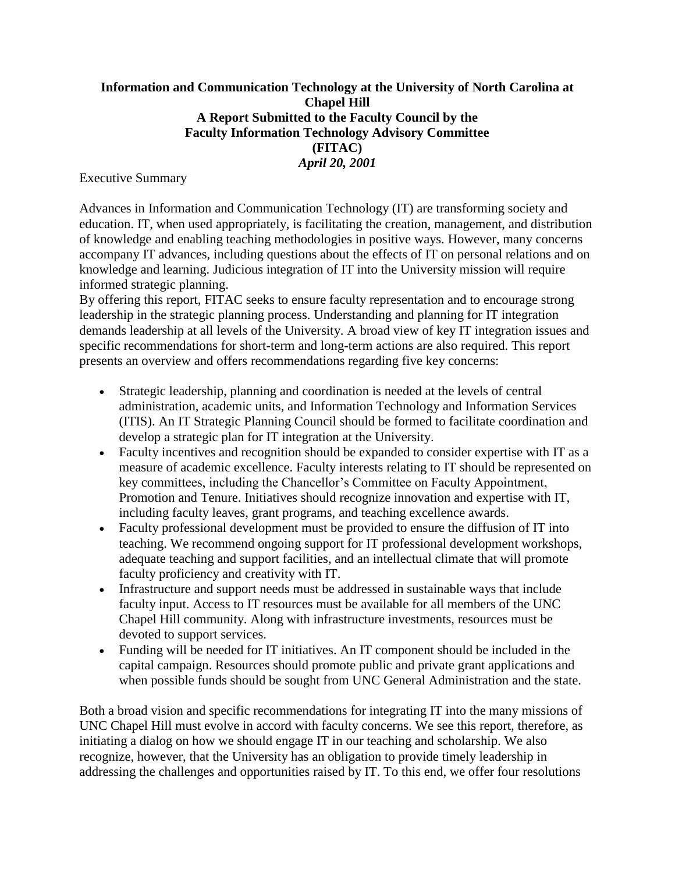## **Information and Communication Technology at the University of North Carolina at Chapel Hill A Report Submitted to the Faculty Council by the Faculty Information Technology Advisory Committee (FITAC)** *April 20, 2001*

Executive Summary

Advances in Information and Communication Technology (IT) are transforming society and education. IT, when used appropriately, is facilitating the creation, management, and distribution of knowledge and enabling teaching methodologies in positive ways. However, many concerns accompany IT advances, including questions about the effects of IT on personal relations and on knowledge and learning. Judicious integration of IT into the University mission will require informed strategic planning.

By offering this report, FITAC seeks to ensure faculty representation and to encourage strong leadership in the strategic planning process. Understanding and planning for IT integration demands leadership at all levels of the University. A broad view of key IT integration issues and specific recommendations for short-term and long-term actions are also required. This report presents an overview and offers recommendations regarding five key concerns:

- Strategic leadership, planning and coordination is needed at the levels of central administration, academic units, and Information Technology and Information Services (ITIS). An IT Strategic Planning Council should be formed to facilitate coordination and develop a strategic plan for IT integration at the University.
- Faculty incentives and recognition should be expanded to consider expertise with IT as a measure of academic excellence. Faculty interests relating to IT should be represented on key committees, including the Chancellor's Committee on Faculty Appointment, Promotion and Tenure. Initiatives should recognize innovation and expertise with IT, including faculty leaves, grant programs, and teaching excellence awards.
- Faculty professional development must be provided to ensure the diffusion of IT into teaching. We recommend ongoing support for IT professional development workshops, adequate teaching and support facilities, and an intellectual climate that will promote faculty proficiency and creativity with IT.
- Infrastructure and support needs must be addressed in sustainable ways that include faculty input. Access to IT resources must be available for all members of the UNC Chapel Hill community. Along with infrastructure investments, resources must be devoted to support services.
- Funding will be needed for IT initiatives. An IT component should be included in the capital campaign. Resources should promote public and private grant applications and when possible funds should be sought from UNC General Administration and the state.

Both a broad vision and specific recommendations for integrating IT into the many missions of UNC Chapel Hill must evolve in accord with faculty concerns. We see this report, therefore, as initiating a dialog on how we should engage IT in our teaching and scholarship. We also recognize, however, that the University has an obligation to provide timely leadership in addressing the challenges and opportunities raised by IT. To this end, we offer four resolutions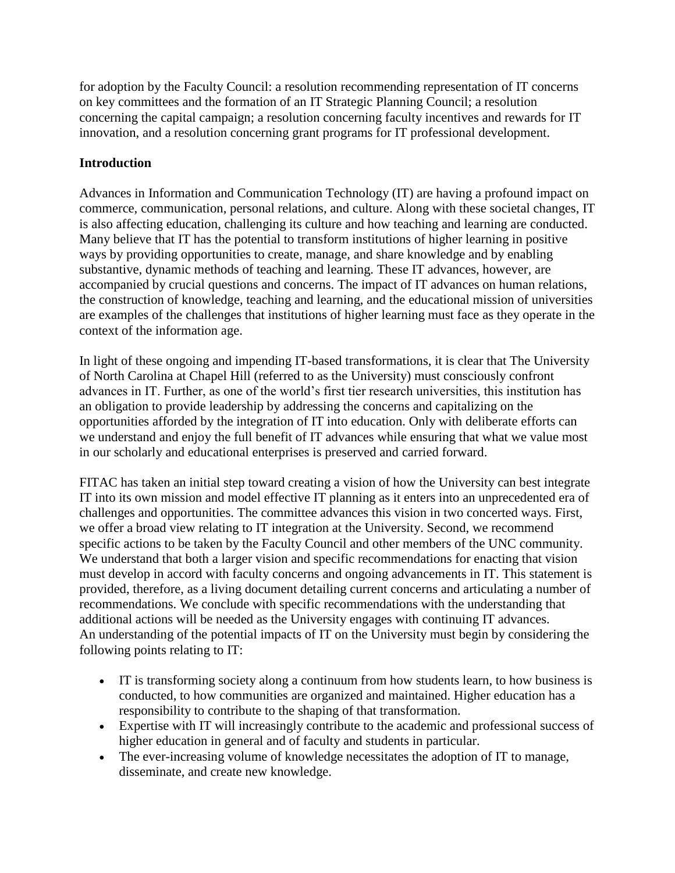for adoption by the Faculty Council: a resolution recommending representation of IT concerns on key committees and the formation of an IT Strategic Planning Council; a resolution concerning the capital campaign; a resolution concerning faculty incentives and rewards for IT innovation, and a resolution concerning grant programs for IT professional development.

# **Introduction**

Advances in Information and Communication Technology (IT) are having a profound impact on commerce, communication, personal relations, and culture. Along with these societal changes, IT is also affecting education, challenging its culture and how teaching and learning are conducted. Many believe that IT has the potential to transform institutions of higher learning in positive ways by providing opportunities to create, manage, and share knowledge and by enabling substantive, dynamic methods of teaching and learning. These IT advances, however, are accompanied by crucial questions and concerns. The impact of IT advances on human relations, the construction of knowledge, teaching and learning, and the educational mission of universities are examples of the challenges that institutions of higher learning must face as they operate in the context of the information age.

In light of these ongoing and impending IT-based transformations, it is clear that The University of North Carolina at Chapel Hill (referred to as the University) must consciously confront advances in IT. Further, as one of the world's first tier research universities, this institution has an obligation to provide leadership by addressing the concerns and capitalizing on the opportunities afforded by the integration of IT into education. Only with deliberate efforts can we understand and enjoy the full benefit of IT advances while ensuring that what we value most in our scholarly and educational enterprises is preserved and carried forward.

FITAC has taken an initial step toward creating a vision of how the University can best integrate IT into its own mission and model effective IT planning as it enters into an unprecedented era of challenges and opportunities. The committee advances this vision in two concerted ways. First, we offer a broad view relating to IT integration at the University. Second, we recommend specific actions to be taken by the Faculty Council and other members of the UNC community. We understand that both a larger vision and specific recommendations for enacting that vision must develop in accord with faculty concerns and ongoing advancements in IT. This statement is provided, therefore, as a living document detailing current concerns and articulating a number of recommendations. We conclude with specific recommendations with the understanding that additional actions will be needed as the University engages with continuing IT advances. An understanding of the potential impacts of IT on the University must begin by considering the following points relating to IT:

- IT is transforming society along a continuum from how students learn, to how business is conducted, to how communities are organized and maintained. Higher education has a responsibility to contribute to the shaping of that transformation.
- Expertise with IT will increasingly contribute to the academic and professional success of higher education in general and of faculty and students in particular.
- The ever-increasing volume of knowledge necessitates the adoption of IT to manage, disseminate, and create new knowledge.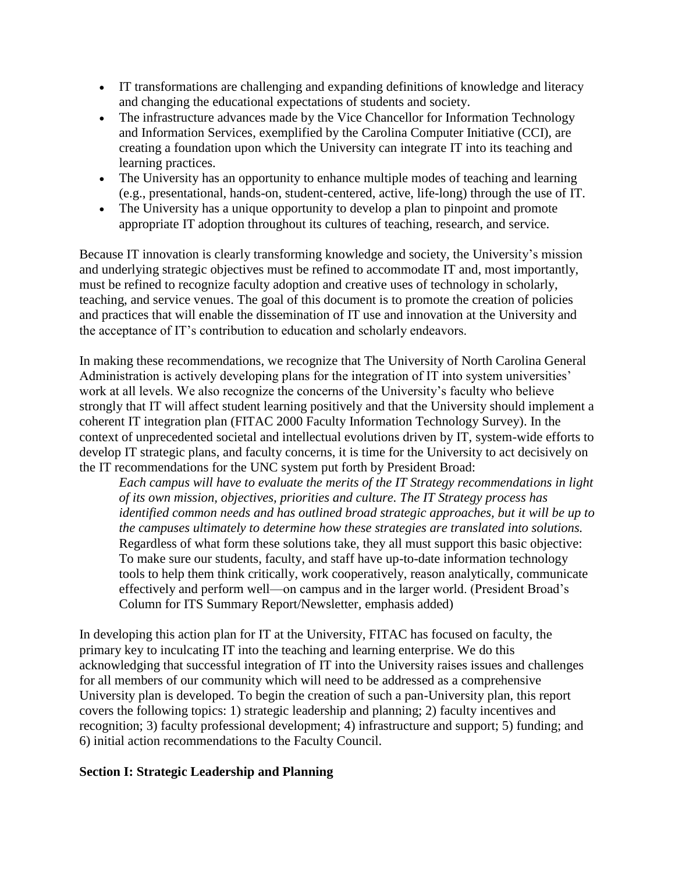- IT transformations are challenging and expanding definitions of knowledge and literacy and changing the educational expectations of students and society.
- The infrastructure advances made by the Vice Chancellor for Information Technology and Information Services, exemplified by the Carolina Computer Initiative (CCI), are creating a foundation upon which the University can integrate IT into its teaching and learning practices.
- The University has an opportunity to enhance multiple modes of teaching and learning (e.g., presentational, hands-on, student-centered, active, life-long) through the use of IT.
- The University has a unique opportunity to develop a plan to pinpoint and promote appropriate IT adoption throughout its cultures of teaching, research, and service.

Because IT innovation is clearly transforming knowledge and society, the University's mission and underlying strategic objectives must be refined to accommodate IT and, most importantly, must be refined to recognize faculty adoption and creative uses of technology in scholarly, teaching, and service venues. The goal of this document is to promote the creation of policies and practices that will enable the dissemination of IT use and innovation at the University and the acceptance of IT's contribution to education and scholarly endeavors.

In making these recommendations, we recognize that The University of North Carolina General Administration is actively developing plans for the integration of IT into system universities' work at all levels. We also recognize the concerns of the University's faculty who believe strongly that IT will affect student learning positively and that the University should implement a coherent IT integration plan (FITAC 2000 Faculty Information Technology Survey). In the context of unprecedented societal and intellectual evolutions driven by IT, system-wide efforts to develop IT strategic plans, and faculty concerns, it is time for the University to act decisively on the IT recommendations for the UNC system put forth by President Broad:

*Each campus will have to evaluate the merits of the IT Strategy recommendations in light of its own mission, objectives, priorities and culture. The IT Strategy process has identified common needs and has outlined broad strategic approaches, but it will be up to the campuses ultimately to determine how these strategies are translated into solutions.* Regardless of what form these solutions take, they all must support this basic objective: To make sure our students, faculty, and staff have up-to-date information technology tools to help them think critically, work cooperatively, reason analytically, communicate effectively and perform well—on campus and in the larger world. (President Broad's Column for ITS Summary Report/Newsletter, emphasis added)

In developing this action plan for IT at the University, FITAC has focused on faculty, the primary key to inculcating IT into the teaching and learning enterprise. We do this acknowledging that successful integration of IT into the University raises issues and challenges for all members of our community which will need to be addressed as a comprehensive University plan is developed. To begin the creation of such a pan-University plan, this report covers the following topics: 1) strategic leadership and planning; 2) faculty incentives and recognition; 3) faculty professional development; 4) infrastructure and support; 5) funding; and 6) initial action recommendations to the Faculty Council.

#### **Section I: Strategic Leadership and Planning**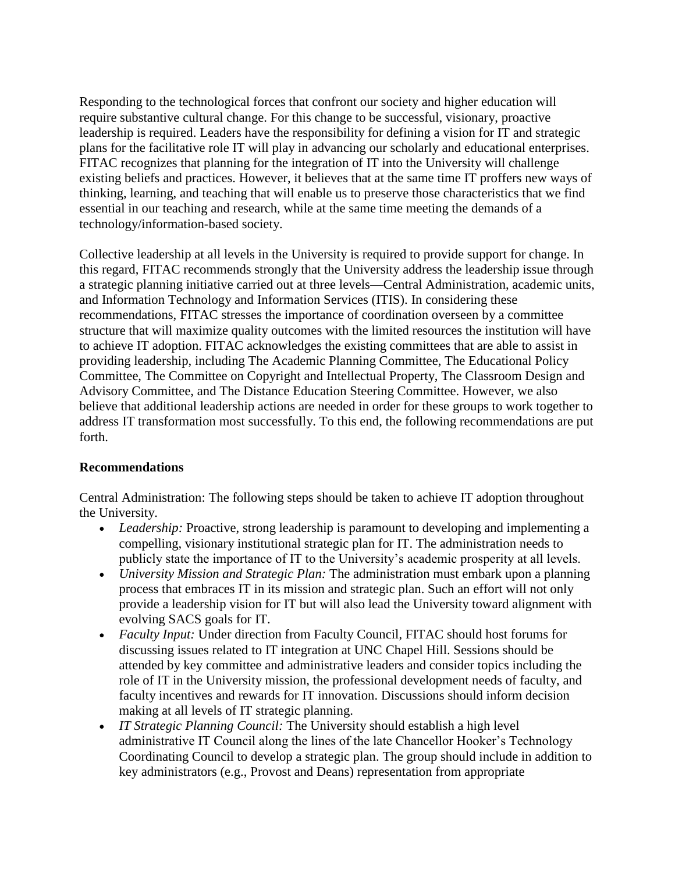Responding to the technological forces that confront our society and higher education will require substantive cultural change. For this change to be successful, visionary, proactive leadership is required. Leaders have the responsibility for defining a vision for IT and strategic plans for the facilitative role IT will play in advancing our scholarly and educational enterprises. FITAC recognizes that planning for the integration of IT into the University will challenge existing beliefs and practices. However, it believes that at the same time IT proffers new ways of thinking, learning, and teaching that will enable us to preserve those characteristics that we find essential in our teaching and research, while at the same time meeting the demands of a technology/information-based society.

Collective leadership at all levels in the University is required to provide support for change. In this regard, FITAC recommends strongly that the University address the leadership issue through a strategic planning initiative carried out at three levels—Central Administration, academic units, and Information Technology and Information Services (ITIS). In considering these recommendations, FITAC stresses the importance of coordination overseen by a committee structure that will maximize quality outcomes with the limited resources the institution will have to achieve IT adoption. FITAC acknowledges the existing committees that are able to assist in providing leadership, including The Academic Planning Committee, The Educational Policy Committee, The Committee on Copyright and Intellectual Property, The Classroom Design and Advisory Committee, and The Distance Education Steering Committee. However, we also believe that additional leadership actions are needed in order for these groups to work together to address IT transformation most successfully. To this end, the following recommendations are put forth.

## **Recommendations**

Central Administration: The following steps should be taken to achieve IT adoption throughout the University.

- *Leadership:* Proactive, strong leadership is paramount to developing and implementing a compelling, visionary institutional strategic plan for IT. The administration needs to publicly state the importance of IT to the University's academic prosperity at all levels.
- *University Mission and Strategic Plan:* The administration must embark upon a planning process that embraces IT in its mission and strategic plan. Such an effort will not only provide a leadership vision for IT but will also lead the University toward alignment with evolving SACS goals for IT.
- *Faculty Input:* Under direction from Faculty Council, FITAC should host forums for discussing issues related to IT integration at UNC Chapel Hill. Sessions should be attended by key committee and administrative leaders and consider topics including the role of IT in the University mission, the professional development needs of faculty, and faculty incentives and rewards for IT innovation. Discussions should inform decision making at all levels of IT strategic planning.
- *IT Strategic Planning Council:* The University should establish a high level administrative IT Council along the lines of the late Chancellor Hooker's Technology Coordinating Council to develop a strategic plan. The group should include in addition to key administrators (e.g., Provost and Deans) representation from appropriate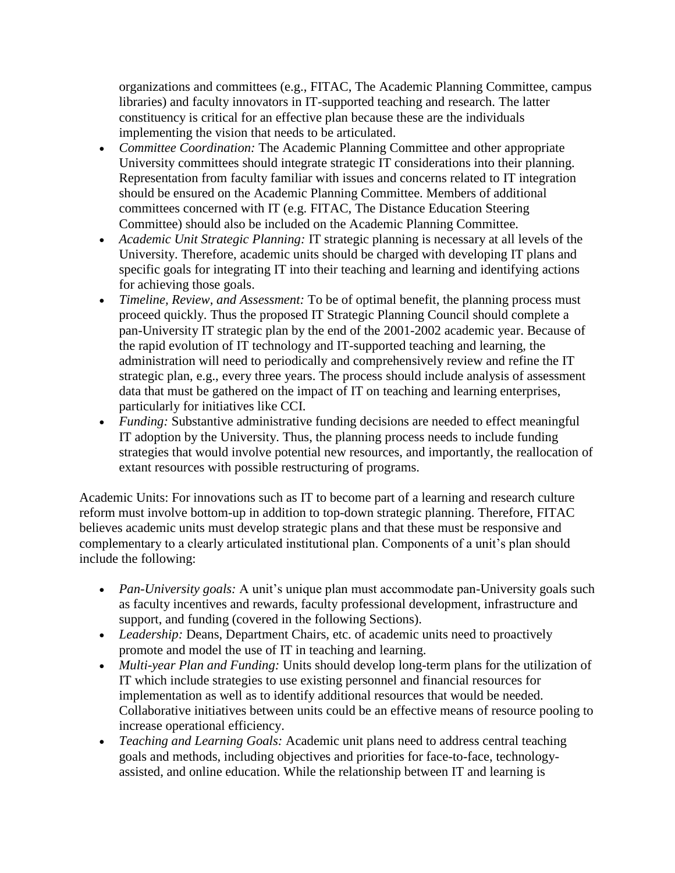organizations and committees (e.g., FITAC, The Academic Planning Committee, campus libraries) and faculty innovators in IT-supported teaching and research. The latter constituency is critical for an effective plan because these are the individuals implementing the vision that needs to be articulated.

- *Committee Coordination:* The Academic Planning Committee and other appropriate University committees should integrate strategic IT considerations into their planning. Representation from faculty familiar with issues and concerns related to IT integration should be ensured on the Academic Planning Committee. Members of additional committees concerned with IT (e.g. FITAC, The Distance Education Steering Committee) should also be included on the Academic Planning Committee.
- *Academic Unit Strategic Planning:* IT strategic planning is necessary at all levels of the University. Therefore, academic units should be charged with developing IT plans and specific goals for integrating IT into their teaching and learning and identifying actions for achieving those goals.
- *Timeline, Review, and Assessment:* To be of optimal benefit, the planning process must proceed quickly. Thus the proposed IT Strategic Planning Council should complete a pan-University IT strategic plan by the end of the 2001-2002 academic year. Because of the rapid evolution of IT technology and IT-supported teaching and learning, the administration will need to periodically and comprehensively review and refine the IT strategic plan, e.g., every three years. The process should include analysis of assessment data that must be gathered on the impact of IT on teaching and learning enterprises, particularly for initiatives like CCI.
- *Funding:* Substantive administrative funding decisions are needed to effect meaningful IT adoption by the University. Thus, the planning process needs to include funding strategies that would involve potential new resources, and importantly, the reallocation of extant resources with possible restructuring of programs.

Academic Units: For innovations such as IT to become part of a learning and research culture reform must involve bottom-up in addition to top-down strategic planning. Therefore, FITAC believes academic units must develop strategic plans and that these must be responsive and complementary to a clearly articulated institutional plan. Components of a unit's plan should include the following:

- *Pan-University goals:* A unit's unique plan must accommodate pan-University goals such as faculty incentives and rewards, faculty professional development, infrastructure and support, and funding (covered in the following Sections).
- Leadership: Deans, Department Chairs, etc. of academic units need to proactively promote and model the use of IT in teaching and learning.
- *Multi-year Plan and Funding:* Units should develop long-term plans for the utilization of IT which include strategies to use existing personnel and financial resources for implementation as well as to identify additional resources that would be needed. Collaborative initiatives between units could be an effective means of resource pooling to increase operational efficiency.
- *Teaching and Learning Goals:* Academic unit plans need to address central teaching goals and methods, including objectives and priorities for face-to-face, technologyassisted, and online education. While the relationship between IT and learning is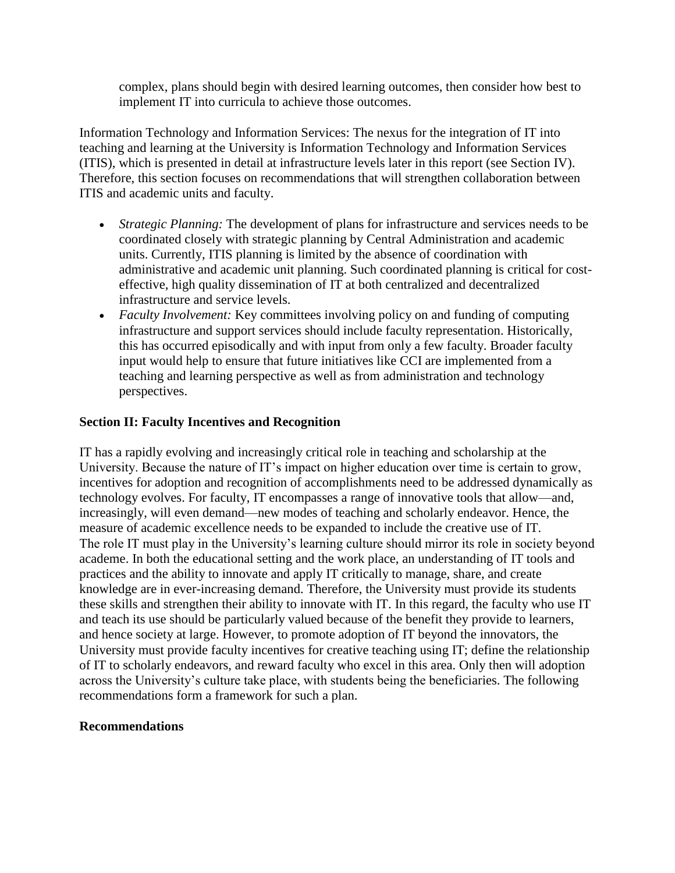complex, plans should begin with desired learning outcomes, then consider how best to implement IT into curricula to achieve those outcomes.

Information Technology and Information Services: The nexus for the integration of IT into teaching and learning at the University is Information Technology and Information Services (ITIS), which is presented in detail at infrastructure levels later in this report (see Section IV). Therefore, this section focuses on recommendations that will strengthen collaboration between ITIS and academic units and faculty.

- *Strategic Planning:* The development of plans for infrastructure and services needs to be coordinated closely with strategic planning by Central Administration and academic units. Currently, ITIS planning is limited by the absence of coordination with administrative and academic unit planning. Such coordinated planning is critical for costeffective, high quality dissemination of IT at both centralized and decentralized infrastructure and service levels.
- *Faculty Involvement:* Key committees involving policy on and funding of computing infrastructure and support services should include faculty representation. Historically, this has occurred episodically and with input from only a few faculty. Broader faculty input would help to ensure that future initiatives like CCI are implemented from a teaching and learning perspective as well as from administration and technology perspectives.

## **Section II: Faculty Incentives and Recognition**

IT has a rapidly evolving and increasingly critical role in teaching and scholarship at the University. Because the nature of IT's impact on higher education over time is certain to grow, incentives for adoption and recognition of accomplishments need to be addressed dynamically as technology evolves. For faculty, IT encompasses a range of innovative tools that allow—and, increasingly, will even demand—new modes of teaching and scholarly endeavor. Hence, the measure of academic excellence needs to be expanded to include the creative use of IT. The role IT must play in the University's learning culture should mirror its role in society beyond academe. In both the educational setting and the work place, an understanding of IT tools and practices and the ability to innovate and apply IT critically to manage, share, and create knowledge are in ever-increasing demand. Therefore, the University must provide its students these skills and strengthen their ability to innovate with IT. In this regard, the faculty who use IT and teach its use should be particularly valued because of the benefit they provide to learners, and hence society at large. However, to promote adoption of IT beyond the innovators, the University must provide faculty incentives for creative teaching using IT; define the relationship of IT to scholarly endeavors, and reward faculty who excel in this area. Only then will adoption across the University's culture take place, with students being the beneficiaries. The following recommendations form a framework for such a plan.

## **Recommendations**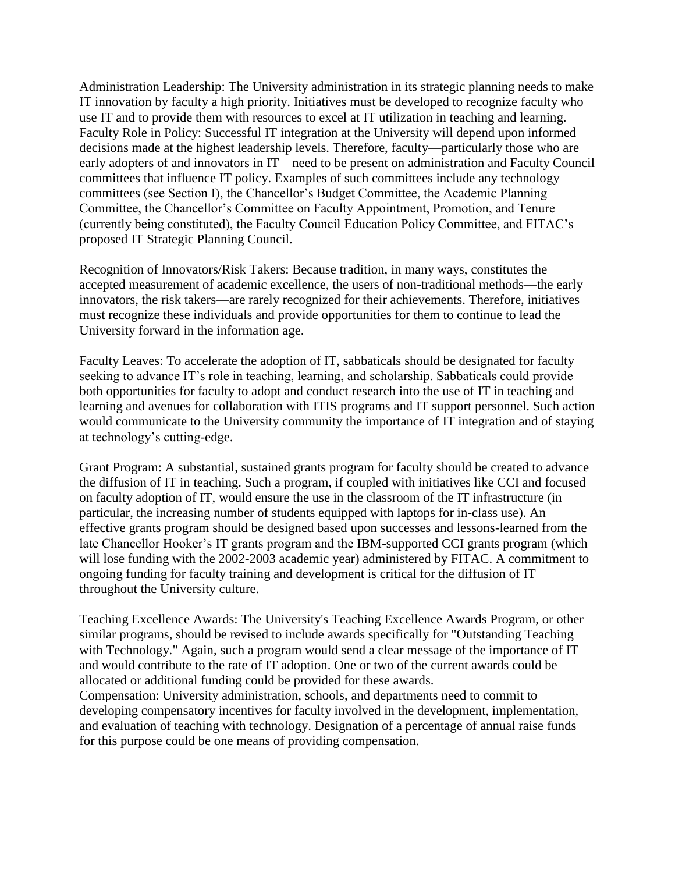Administration Leadership: The University administration in its strategic planning needs to make IT innovation by faculty a high priority. Initiatives must be developed to recognize faculty who use IT and to provide them with resources to excel at IT utilization in teaching and learning. Faculty Role in Policy: Successful IT integration at the University will depend upon informed decisions made at the highest leadership levels. Therefore, faculty—particularly those who are early adopters of and innovators in IT—need to be present on administration and Faculty Council committees that influence IT policy. Examples of such committees include any technology committees (see Section I), the Chancellor's Budget Committee, the Academic Planning Committee, the Chancellor's Committee on Faculty Appointment, Promotion, and Tenure (currently being constituted), the Faculty Council Education Policy Committee, and FITAC's proposed IT Strategic Planning Council.

Recognition of Innovators/Risk Takers: Because tradition, in many ways, constitutes the accepted measurement of academic excellence, the users of non-traditional methods—the early innovators, the risk takers—are rarely recognized for their achievements. Therefore, initiatives must recognize these individuals and provide opportunities for them to continue to lead the University forward in the information age.

Faculty Leaves: To accelerate the adoption of IT, sabbaticals should be designated for faculty seeking to advance IT's role in teaching, learning, and scholarship. Sabbaticals could provide both opportunities for faculty to adopt and conduct research into the use of IT in teaching and learning and avenues for collaboration with ITIS programs and IT support personnel. Such action would communicate to the University community the importance of IT integration and of staying at technology's cutting-edge.

Grant Program: A substantial, sustained grants program for faculty should be created to advance the diffusion of IT in teaching. Such a program, if coupled with initiatives like CCI and focused on faculty adoption of IT, would ensure the use in the classroom of the IT infrastructure (in particular, the increasing number of students equipped with laptops for in-class use). An effective grants program should be designed based upon successes and lessons-learned from the late Chancellor Hooker's IT grants program and the IBM-supported CCI grants program (which will lose funding with the 2002-2003 academic year) administered by FITAC. A commitment to ongoing funding for faculty training and development is critical for the diffusion of IT throughout the University culture.

Teaching Excellence Awards: The University's Teaching Excellence Awards Program, or other similar programs, should be revised to include awards specifically for "Outstanding Teaching with Technology." Again, such a program would send a clear message of the importance of IT and would contribute to the rate of IT adoption. One or two of the current awards could be allocated or additional funding could be provided for these awards.

Compensation: University administration, schools, and departments need to commit to developing compensatory incentives for faculty involved in the development, implementation, and evaluation of teaching with technology. Designation of a percentage of annual raise funds for this purpose could be one means of providing compensation.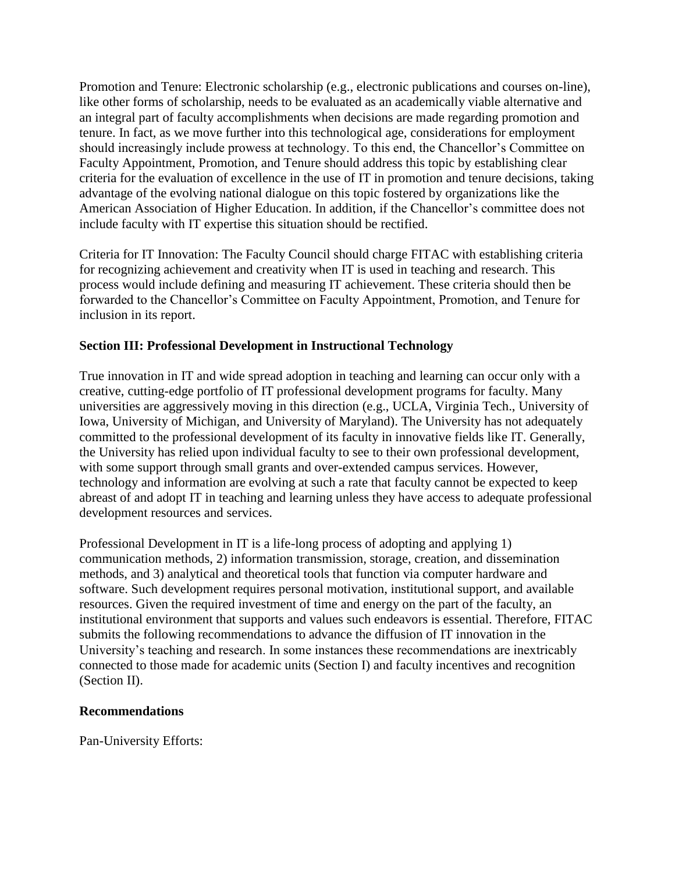Promotion and Tenure: Electronic scholarship (e.g., electronic publications and courses on-line), like other forms of scholarship, needs to be evaluated as an academically viable alternative and an integral part of faculty accomplishments when decisions are made regarding promotion and tenure. In fact, as we move further into this technological age, considerations for employment should increasingly include prowess at technology. To this end, the Chancellor's Committee on Faculty Appointment, Promotion, and Tenure should address this topic by establishing clear criteria for the evaluation of excellence in the use of IT in promotion and tenure decisions, taking advantage of the evolving national dialogue on this topic fostered by organizations like the American Association of Higher Education. In addition, if the Chancellor's committee does not include faculty with IT expertise this situation should be rectified.

Criteria for IT Innovation: The Faculty Council should charge FITAC with establishing criteria for recognizing achievement and creativity when IT is used in teaching and research. This process would include defining and measuring IT achievement. These criteria should then be forwarded to the Chancellor's Committee on Faculty Appointment, Promotion, and Tenure for inclusion in its report.

## **Section III: Professional Development in Instructional Technology**

True innovation in IT and wide spread adoption in teaching and learning can occur only with a creative, cutting-edge portfolio of IT professional development programs for faculty. Many universities are aggressively moving in this direction (e.g., UCLA, Virginia Tech., University of Iowa, University of Michigan, and University of Maryland). The University has not adequately committed to the professional development of its faculty in innovative fields like IT. Generally, the University has relied upon individual faculty to see to their own professional development, with some support through small grants and over-extended campus services. However, technology and information are evolving at such a rate that faculty cannot be expected to keep abreast of and adopt IT in teaching and learning unless they have access to adequate professional development resources and services.

Professional Development in IT is a life-long process of adopting and applying 1) communication methods, 2) information transmission, storage, creation, and dissemination methods, and 3) analytical and theoretical tools that function via computer hardware and software. Such development requires personal motivation, institutional support, and available resources. Given the required investment of time and energy on the part of the faculty, an institutional environment that supports and values such endeavors is essential. Therefore, FITAC submits the following recommendations to advance the diffusion of IT innovation in the University's teaching and research. In some instances these recommendations are inextricably connected to those made for academic units (Section I) and faculty incentives and recognition (Section II).

## **Recommendations**

Pan-University Efforts: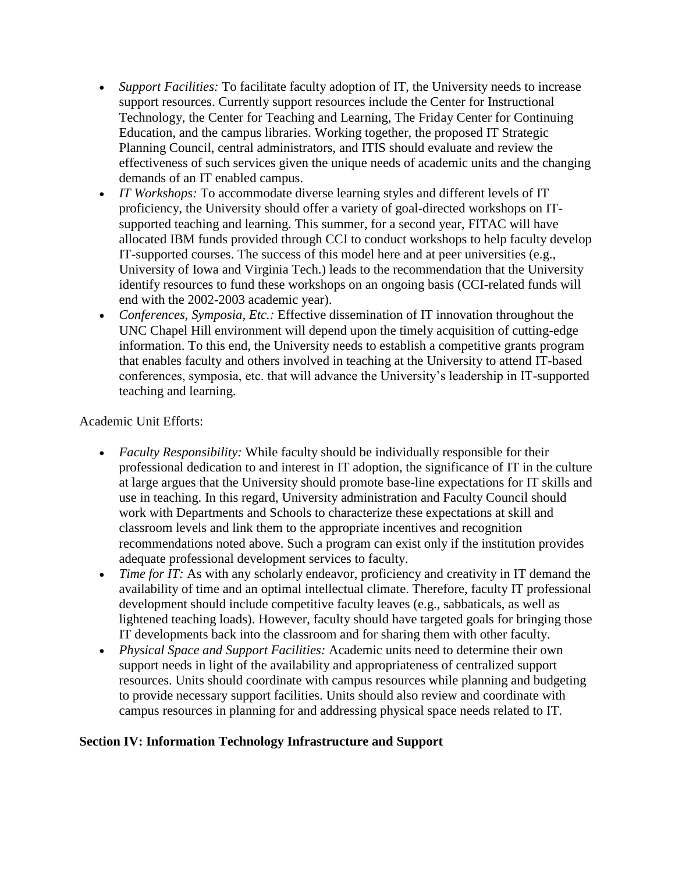- *Support Facilities:* To facilitate faculty adoption of IT, the University needs to increase support resources. Currently support resources include the Center for Instructional Technology, the Center for Teaching and Learning, The Friday Center for Continuing Education, and the campus libraries. Working together, the proposed IT Strategic Planning Council, central administrators, and ITIS should evaluate and review the effectiveness of such services given the unique needs of academic units and the changing demands of an IT enabled campus.
- *IT Workshops:* To accommodate diverse learning styles and different levels of IT proficiency, the University should offer a variety of goal-directed workshops on ITsupported teaching and learning. This summer, for a second year, FITAC will have allocated IBM funds provided through CCI to conduct workshops to help faculty develop IT-supported courses. The success of this model here and at peer universities (e.g., University of Iowa and Virginia Tech.) leads to the recommendation that the University identify resources to fund these workshops on an ongoing basis (CCI-related funds will end with the 2002-2003 academic year).
- *Conferences, Symposia, Etc.:* Effective dissemination of IT innovation throughout the UNC Chapel Hill environment will depend upon the timely acquisition of cutting-edge information. To this end, the University needs to establish a competitive grants program that enables faculty and others involved in teaching at the University to attend IT-based conferences, symposia, etc. that will advance the University's leadership in IT-supported teaching and learning.

## Academic Unit Efforts:

- *Faculty Responsibility:* While faculty should be individually responsible for their professional dedication to and interest in IT adoption, the significance of IT in the culture at large argues that the University should promote base-line expectations for IT skills and use in teaching. In this regard, University administration and Faculty Council should work with Departments and Schools to characterize these expectations at skill and classroom levels and link them to the appropriate incentives and recognition recommendations noted above. Such a program can exist only if the institution provides adequate professional development services to faculty.
- *Time for IT:* As with any scholarly endeavor, proficiency and creativity in IT demand the availability of time and an optimal intellectual climate. Therefore, faculty IT professional development should include competitive faculty leaves (e.g., sabbaticals, as well as lightened teaching loads). However, faculty should have targeted goals for bringing those IT developments back into the classroom and for sharing them with other faculty.
- *Physical Space and Support Facilities:* Academic units need to determine their own support needs in light of the availability and appropriateness of centralized support resources. Units should coordinate with campus resources while planning and budgeting to provide necessary support facilities. Units should also review and coordinate with campus resources in planning for and addressing physical space needs related to IT.

## **Section IV: Information Technology Infrastructure and Support**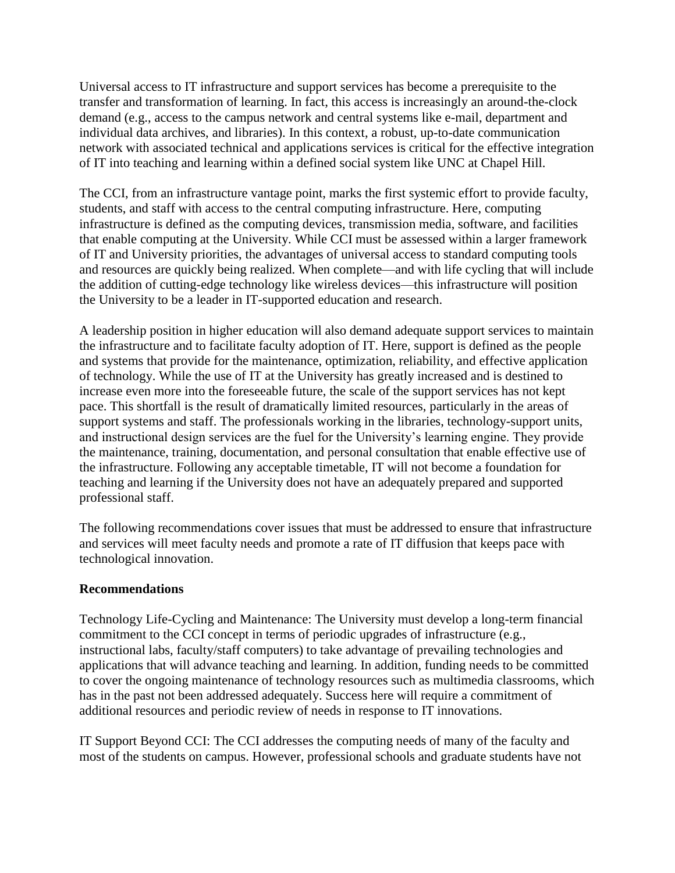Universal access to IT infrastructure and support services has become a prerequisite to the transfer and transformation of learning. In fact, this access is increasingly an around-the-clock demand (e.g., access to the campus network and central systems like e-mail, department and individual data archives, and libraries). In this context, a robust, up-to-date communication network with associated technical and applications services is critical for the effective integration of IT into teaching and learning within a defined social system like UNC at Chapel Hill.

The CCI, from an infrastructure vantage point, marks the first systemic effort to provide faculty, students, and staff with access to the central computing infrastructure. Here, computing infrastructure is defined as the computing devices, transmission media, software, and facilities that enable computing at the University. While CCI must be assessed within a larger framework of IT and University priorities, the advantages of universal access to standard computing tools and resources are quickly being realized. When complete—and with life cycling that will include the addition of cutting-edge technology like wireless devices—this infrastructure will position the University to be a leader in IT-supported education and research.

A leadership position in higher education will also demand adequate support services to maintain the infrastructure and to facilitate faculty adoption of IT. Here, support is defined as the people and systems that provide for the maintenance, optimization, reliability, and effective application of technology. While the use of IT at the University has greatly increased and is destined to increase even more into the foreseeable future, the scale of the support services has not kept pace. This shortfall is the result of dramatically limited resources, particularly in the areas of support systems and staff. The professionals working in the libraries, technology-support units, and instructional design services are the fuel for the University's learning engine. They provide the maintenance, training, documentation, and personal consultation that enable effective use of the infrastructure. Following any acceptable timetable, IT will not become a foundation for teaching and learning if the University does not have an adequately prepared and supported professional staff.

The following recommendations cover issues that must be addressed to ensure that infrastructure and services will meet faculty needs and promote a rate of IT diffusion that keeps pace with technological innovation.

## **Recommendations**

Technology Life-Cycling and Maintenance: The University must develop a long-term financial commitment to the CCI concept in terms of periodic upgrades of infrastructure (e.g., instructional labs, faculty/staff computers) to take advantage of prevailing technologies and applications that will advance teaching and learning. In addition, funding needs to be committed to cover the ongoing maintenance of technology resources such as multimedia classrooms, which has in the past not been addressed adequately. Success here will require a commitment of additional resources and periodic review of needs in response to IT innovations.

IT Support Beyond CCI: The CCI addresses the computing needs of many of the faculty and most of the students on campus. However, professional schools and graduate students have not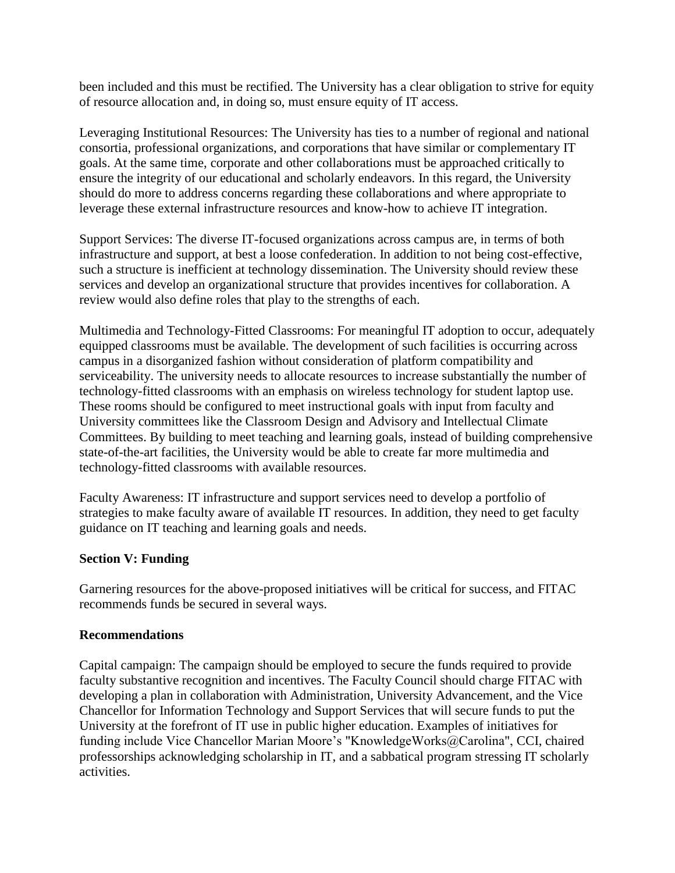been included and this must be rectified. The University has a clear obligation to strive for equity of resource allocation and, in doing so, must ensure equity of IT access.

Leveraging Institutional Resources: The University has ties to a number of regional and national consortia, professional organizations, and corporations that have similar or complementary IT goals. At the same time, corporate and other collaborations must be approached critically to ensure the integrity of our educational and scholarly endeavors. In this regard, the University should do more to address concerns regarding these collaborations and where appropriate to leverage these external infrastructure resources and know-how to achieve IT integration.

Support Services: The diverse IT-focused organizations across campus are, in terms of both infrastructure and support, at best a loose confederation. In addition to not being cost-effective, such a structure is inefficient at technology dissemination. The University should review these services and develop an organizational structure that provides incentives for collaboration. A review would also define roles that play to the strengths of each.

Multimedia and Technology-Fitted Classrooms: For meaningful IT adoption to occur, adequately equipped classrooms must be available. The development of such facilities is occurring across campus in a disorganized fashion without consideration of platform compatibility and serviceability. The university needs to allocate resources to increase substantially the number of technology-fitted classrooms with an emphasis on wireless technology for student laptop use. These rooms should be configured to meet instructional goals with input from faculty and University committees like the Classroom Design and Advisory and Intellectual Climate Committees. By building to meet teaching and learning goals, instead of building comprehensive state-of-the-art facilities, the University would be able to create far more multimedia and technology-fitted classrooms with available resources.

Faculty Awareness: IT infrastructure and support services need to develop a portfolio of strategies to make faculty aware of available IT resources. In addition, they need to get faculty guidance on IT teaching and learning goals and needs.

#### **Section V: Funding**

Garnering resources for the above-proposed initiatives will be critical for success, and FITAC recommends funds be secured in several ways.

#### **Recommendations**

Capital campaign: The campaign should be employed to secure the funds required to provide faculty substantive recognition and incentives. The Faculty Council should charge FITAC with developing a plan in collaboration with Administration, University Advancement, and the Vice Chancellor for Information Technology and Support Services that will secure funds to put the University at the forefront of IT use in public higher education. Examples of initiatives for funding include Vice Chancellor Marian Moore's "KnowledgeWorks@Carolina", CCI, chaired professorships acknowledging scholarship in IT, and a sabbatical program stressing IT scholarly activities.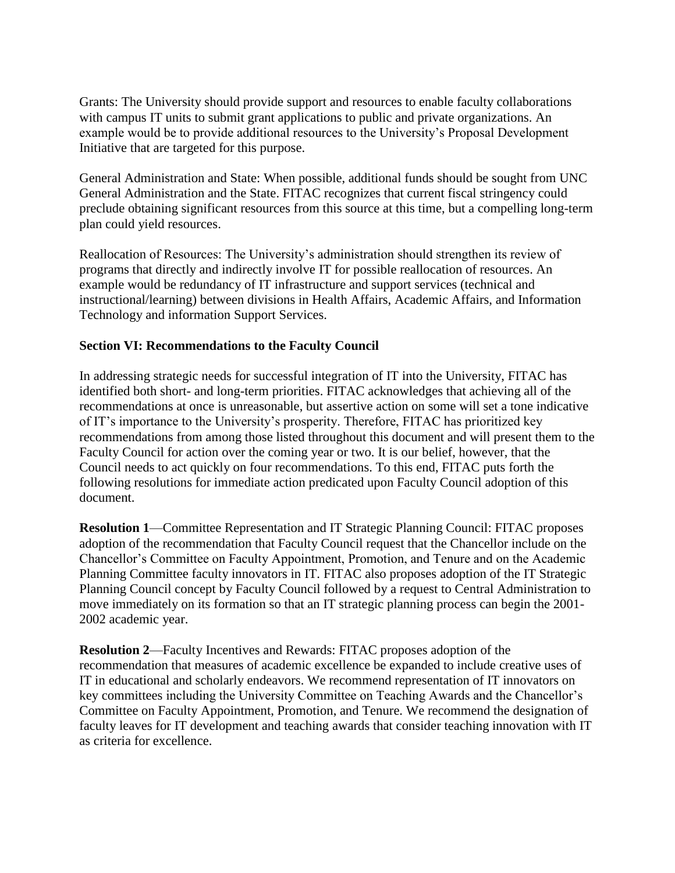Grants: The University should provide support and resources to enable faculty collaborations with campus IT units to submit grant applications to public and private organizations. An example would be to provide additional resources to the University's Proposal Development Initiative that are targeted for this purpose.

General Administration and State: When possible, additional funds should be sought from UNC General Administration and the State. FITAC recognizes that current fiscal stringency could preclude obtaining significant resources from this source at this time, but a compelling long-term plan could yield resources.

Reallocation of Resources: The University's administration should strengthen its review of programs that directly and indirectly involve IT for possible reallocation of resources. An example would be redundancy of IT infrastructure and support services (technical and instructional/learning) between divisions in Health Affairs, Academic Affairs, and Information Technology and information Support Services.

## **Section VI: Recommendations to the Faculty Council**

In addressing strategic needs for successful integration of IT into the University, FITAC has identified both short- and long-term priorities. FITAC acknowledges that achieving all of the recommendations at once is unreasonable, but assertive action on some will set a tone indicative of IT's importance to the University's prosperity. Therefore, FITAC has prioritized key recommendations from among those listed throughout this document and will present them to the Faculty Council for action over the coming year or two. It is our belief, however, that the Council needs to act quickly on four recommendations. To this end, FITAC puts forth the following resolutions for immediate action predicated upon Faculty Council adoption of this document.

**Resolution 1**—Committee Representation and IT Strategic Planning Council: FITAC proposes adoption of the recommendation that Faculty Council request that the Chancellor include on the Chancellor's Committee on Faculty Appointment, Promotion, and Tenure and on the Academic Planning Committee faculty innovators in IT. FITAC also proposes adoption of the IT Strategic Planning Council concept by Faculty Council followed by a request to Central Administration to move immediately on its formation so that an IT strategic planning process can begin the 2001- 2002 academic year.

**Resolution 2**—Faculty Incentives and Rewards: FITAC proposes adoption of the recommendation that measures of academic excellence be expanded to include creative uses of IT in educational and scholarly endeavors. We recommend representation of IT innovators on key committees including the University Committee on Teaching Awards and the Chancellor's Committee on Faculty Appointment, Promotion, and Tenure. We recommend the designation of faculty leaves for IT development and teaching awards that consider teaching innovation with IT as criteria for excellence.